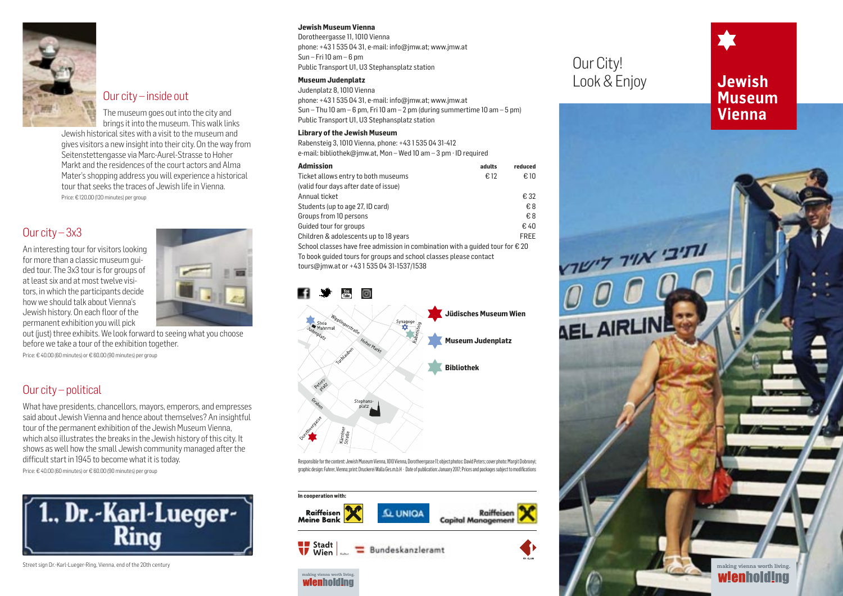

## Our city – inside out

The museum goes out into the city and brings it into the museum. This walk links Jewish historical sites with a visit to the museum and gives visitors a new insight into their city. On the way from Seitenstettengasse via Marc-Aurel-Strasse to Hoher Markt and the residences of the court actors and Alma Mater's shopping address you will experience a historical tour that seeks the traces of Jewish life in Vienna. Price: € 120.00 (120 minutes) per group

# Our city – 3x3

An interesting tour for visitors looking for more than a classic museum guided tour. The 3x3 tour is for groups of at least six and at most twelve visitors, in which the participants decide how we should talk about Vienna's Jewish history. On each floor of the permanent exhibition you will pick



out (just) three exhibits. We look forward to seeing what you choose before we take a tour of the exhibition together.

Price: € 40.00 (60 minutes) or € 60.00 (90 minutes) per group

# Our city – political

What have presidents, chancellors, mayors, emperors, and empresses said about Jewish Vienna and hence about themselves? An insightful tour of the permanent exhibition of the Jewish Museum Vienna, which also illustrates the breaks in the Jewish history of this city. It shows as well how the small Jewish community managed after the difficult start in 1945 to become what it is today. Price: € 40.00 (60 minutes) or € 60.00 (90 minutes) per group

1., Dr.-Karl-Lueger-<br>Ring

Street sign Dr.-Karl-Lueger-Ring, Vienna, end of the 20th century

#### **Jewish Museum Vienna**

Dorotheergasse 11, 1010 Vienna phone: +43 1 535 04 31, e-mail: info@jmw.at; www.jmw.at Sun – Fri  $10$  am – 6 pm Public Transport U1, U3 Stephansplatz station

#### **Museum Judenplatz**

Judenplatz 8, 1010 Vienna phone: +43 1 535 04 31, e-mail: info@jmw.at; www.jmw.at Sun – Thu 10 am – 6 pm, Fri 10 am – 2 pm (during summertime 10 am – 5 pm) Public Transport U1, U3 Stephansplatz station

#### **Library of the Jewish Museum**

Rabensteig 3, 1010 Vienna, phone: +43 1 535 04 31-412 e-mail: bibliothek@jmw.at, Mon – Wed 10 am – 3 pm · ID required

| <b>Admission</b>                                                                       | adults | reduced     |
|----------------------------------------------------------------------------------------|--------|-------------|
| Ticket allows entry to both museums                                                    | €12    | € 10        |
| (valid four days after date of issue)                                                  |        |             |
| Annual ticket                                                                          |        | € 32        |
| Students (up to age 27, ID card)                                                       |        | €8          |
| Groups from 10 persons                                                                 |        | €8          |
| Guided tour for groups                                                                 |        | €40         |
| Children & adolescents up to 18 years                                                  |        | <b>FREE</b> |
| School classes have free admission in combination with a quided tour for $\epsilon$ 20 |        |             |
| To book quided tours for groups and school classes please contact                      |        |             |
| tours@jmw.at or +4315350431-1537/1538                                                  |        |             |







wienholding

# Our City! Look & Enjoy